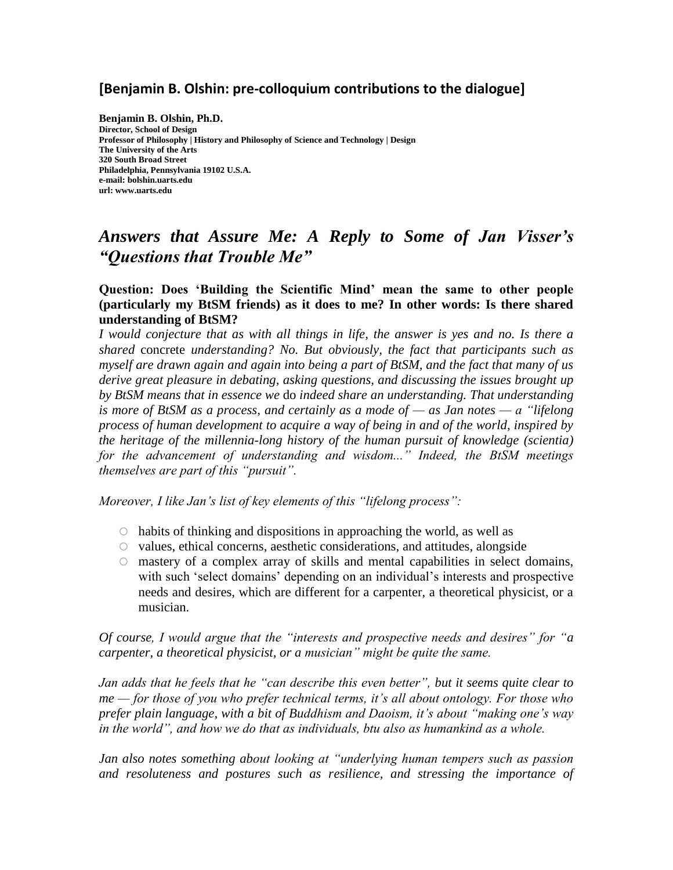# **[Benjamin B. Olshin: pre-colloquium contributions to the dialogue]**

**Benjamin B. Olshin, Ph.D. Director, School of Design Professor of Philosophy | History and Philosophy of Science and Technology | Design The University of the Arts 320 South Broad Street Philadelphia, Pennsylvania 19102 U.S.A. e-mail: bolshin.uarts.edu url: www.uarts.edu**

# *Answers that Assure Me: A Reply to Some of Jan Visser's "Questions that Trouble Me"*

**Question: Does 'Building the Scientific Mind' mean the same to other people (particularly my BtSM friends) as it does to me? In other words: Is there shared understanding of BtSM?**

*I would conjecture that as with all things in life, the answer is yes and no. Is there a shared* concrete *understanding? No. But obviously, the fact that participants such as myself are drawn again and again into being a part of BtSM, and the fact that many of us derive great pleasure in debating, asking questions, and discussing the issues brought up by BtSM means that in essence we* do *indeed share an understanding. That understanding is more of BtSM as a process, and certainly as a mode of — as Jan notes — a "lifelong process of human development to acquire a way of being in and of the world, inspired by the heritage of the millennia-long history of the human pursuit of knowledge (scientia) for the advancement of understanding and wisdom..." Indeed, the BtSM meetings themselves are part of this "pursuit".* 

*Moreover, I like Jan's list of key elements of this "lifelong process":*

- $\circ$  habits of thinking and dispositions in approaching the world, as well as
- $\circ$  values, ethical concerns, aesthetic considerations, and attitudes, alongside
- mastery of a complex array of skills and mental capabilities in select domains, with such 'select domains' depending on an individual's interests and prospective needs and desires, which are different for a carpenter, a theoretical physicist, or a musician.

*Of course, I would argue that the "interests and prospective needs and desires" for "a carpenter, a theoretical physicist, or a musician" might be quite the same.*

*Jan adds that he feels that he "can describe this even better", but it seems quite clear to me — for those of you who prefer technical terms, it's all about ontology. For those who prefer plain language, with a bit of Buddhism and Daoism, it's about "making one's way in the world", and how we do that as individuals, btu also as humankind as a whole.*

*Jan also notes something about looking at "underlying human tempers such as passion and resoluteness and postures such as resilience, and stressing the importance of*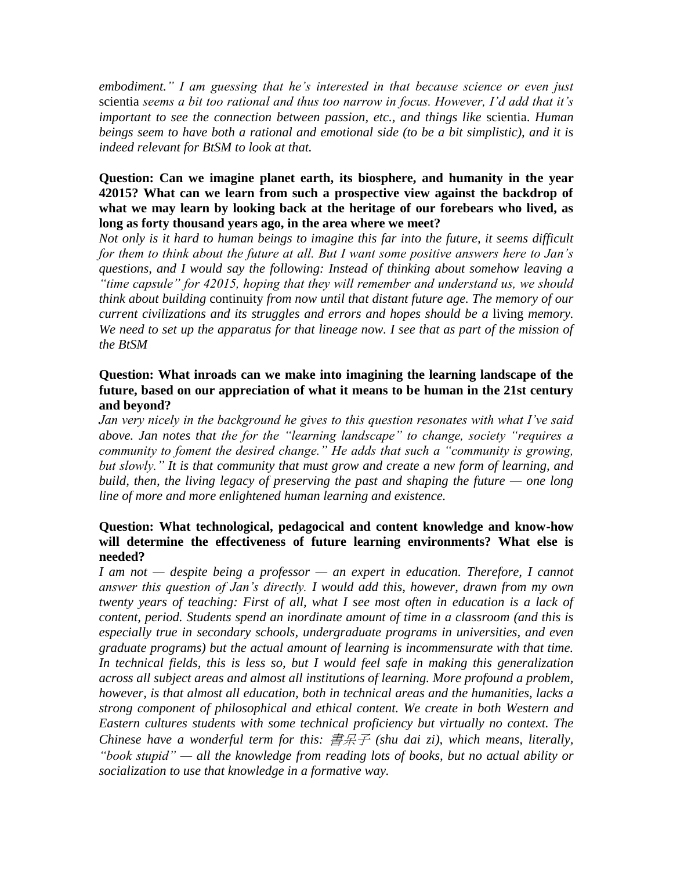*embodiment." I am guessing that he's interested in that because science or even just*  scientia *seems a bit too rational and thus too narrow in focus. However, I'd add that it's important to see the connection between passion, etc., and things like* scientia. *Human beings seem to have both a rational and emotional side (to be a bit simplistic), and it is indeed relevant for BtSM to look at that.*

### **Question: Can we imagine planet earth, its biosphere, and humanity in the year 42015? What can we learn from such a prospective view against the backdrop of what we may learn by looking back at the heritage of our forebears who lived, as long as forty thousand years ago, in the area where we meet?**

*Not only is it hard to human beings to imagine this far into the future, it seems difficult for them to think about the future at all. But I want some positive answers here to Jan's questions, and I would say the following: Instead of thinking about somehow leaving a "time capsule" for 42015, hoping that they will remember and understand us, we should think about building* continuity *from now until that distant future age. The memory of our current civilizations and its struggles and errors and hopes should be a living memory.* We need to set up the apparatus for that lineage now. I see that as part of the mission of *the BtSM*

## **Question: What inroads can we make into imagining the learning landscape of the future, based on our appreciation of what it means to be human in the 21st century and beyond?**

*Jan very nicely in the background he gives to this question resonates with what I've said above. Jan notes that the for the "learning landscape" to change, society "requires a community to foment the desired change." He adds that such a "community is growing, but slowly." It is that community that must grow and create a new form of learning, and build, then, the living legacy of preserving the past and shaping the future — one long line of more and more enlightened human learning and existence.*

## **Question: What technological, pedagocical and content knowledge and know-how will determine the effectiveness of future learning environments? What else is needed?**

*I am not — despite being a professor — an expert in education. Therefore, I cannot answer this question of Jan's directly. I would add this, however, drawn from my own twenty years of teaching: First of all, what I see most often in education is a lack of content, period. Students spend an inordinate amount of time in a classroom (and this is especially true in secondary schools, undergraduate programs in universities, and even graduate programs) but the actual amount of learning is incommensurate with that time. In technical fields, this is less so, but I would feel safe in making this generalization across all subject areas and almost all institutions of learning. More profound a problem, however, is that almost all education, both in technical areas and the humanities, lacks a strong component of philosophical and ethical content. We create in both Western and Eastern cultures students with some technical proficiency but virtually no context. The Chinese have a wonderful term for this:* 書呆子 *(shu dai zi), which means, literally, "book stupid" — all the knowledge from reading lots of books, but no actual ability or socialization to use that knowledge in a formative way.*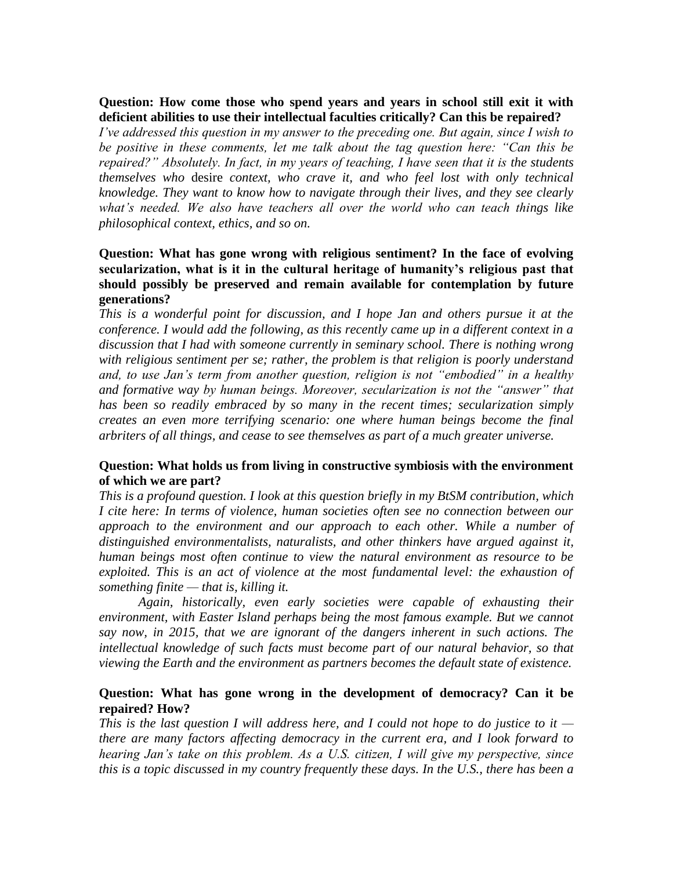#### **Question: How come those who spend years and years in school still exit it with deficient abilities to use their intellectual faculties critically? Can this be repaired?**

*I've addressed this question in my answer to the preceding one. But again, since I wish to be positive in these comments, let me talk about the tag question here: "Can this be repaired?" Absolutely. In fact, in my years of teaching, I have seen that it is the students themselves who* desire *context, who crave it, and who feel lost with only technical knowledge. They want to know how to navigate through their lives, and they see clearly what's needed. We also have teachers all over the world who can teach things like philosophical context, ethics, and so on.*

### **Question: What has gone wrong with religious sentiment? In the face of evolving secularization, what is it in the cultural heritage of humanity's religious past that should possibly be preserved and remain available for contemplation by future generations?**

*This is a wonderful point for discussion, and I hope Jan and others pursue it at the conference. I would add the following, as this recently came up in a different context in a discussion that I had with someone currently in seminary school. There is nothing wrong with religious sentiment per se; rather, the problem is that religion is poorly understand and, to use Jan's term from another question, religion is not "embodied" in a healthy and formative way by human beings. Moreover, secularization is not the "answer" that has been so readily embraced by so many in the recent times; secularization simply creates an even more terrifying scenario: one where human beings become the final arbriters of all things, and cease to see themselves as part of a much greater universe.*

## **Question: What holds us from living in constructive symbiosis with the environment of which we are part?**

*This is a profound question. I look at this question briefly in my BtSM contribution, which I cite here: In terms of violence, human societies often see no connection between our approach to the environment and our approach to each other. While a number of distinguished environmentalists, naturalists, and other thinkers have argued against it, human beings most often continue to view the natural environment as resource to be exploited. This is an act of violence at the most fundamental level: the exhaustion of something finite — that is, killing it.*

*Again, historically, even early societies were capable of exhausting their environment, with Easter Island perhaps being the most famous example. But we cannot say now, in 2015, that we are ignorant of the dangers inherent in such actions. The intellectual knowledge of such facts must become part of our natural behavior, so that viewing the Earth and the environment as partners becomes the default state of existence.*

#### **Question: What has gone wrong in the development of democracy? Can it be repaired? How?**

*This is the last question I will address here, and I could not hope to do justice to it there are many factors affecting democracy in the current era, and I look forward to hearing Jan's take on this problem. As a U.S. citizen, I will give my perspective, since this is a topic discussed in my country frequently these days. In the U.S., there has been a*